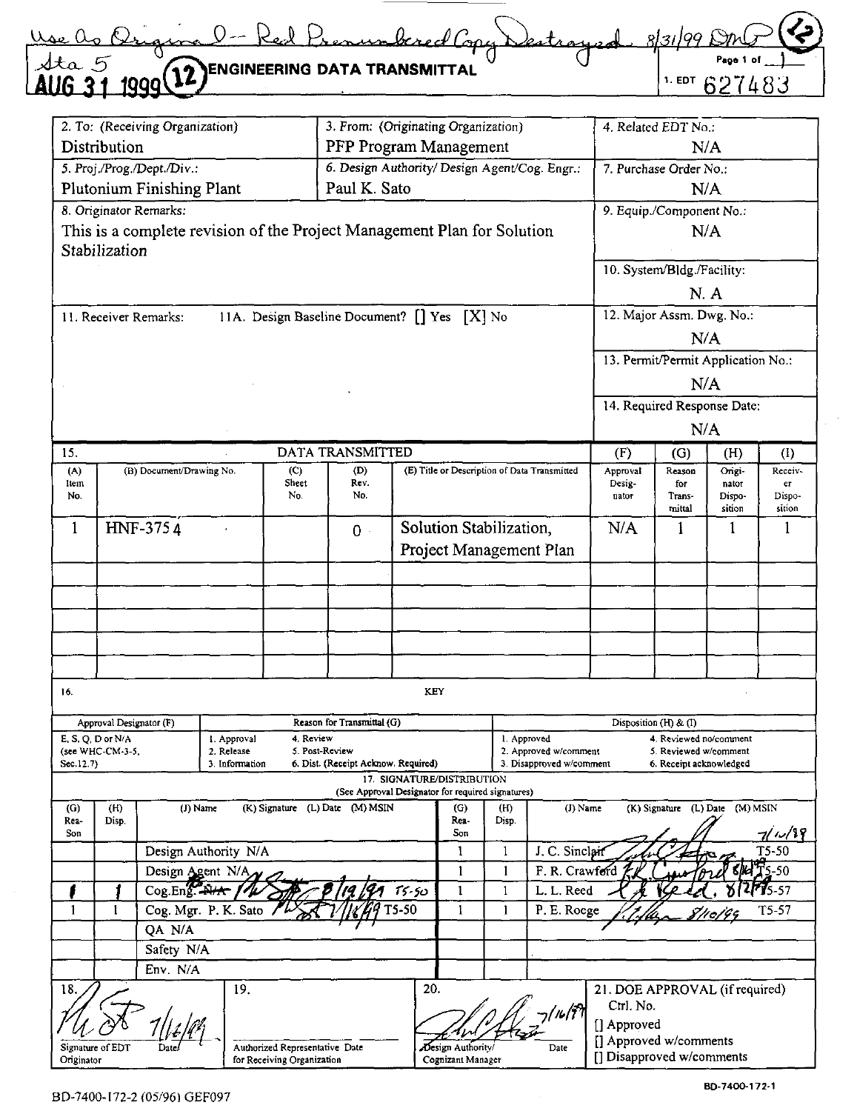| Red Prenumbered Copy Destroyed                                                                                                                                                                                                                                                                                      | ے مصل ہے او |
|---------------------------------------------------------------------------------------------------------------------------------------------------------------------------------------------------------------------------------------------------------------------------------------------------------------------|-------------|
|                                                                                                                                                                                                                                                                                                                     | 'aoo        |
| $\frac{1}{4}$ $\frac{1}{4}$ $\frac{1}{4}$ $\frac{1}{4}$ $\frac{1}{4}$ $\frac{1}{4}$ $\frac{1}{4}$ $\frac{1}{4}$ $\frac{1}{4}$ $\frac{1}{4}$ $\frac{1}{4}$ $\frac{1}{4}$ $\frac{1}{4}$ $\frac{1}{4}$ $\frac{1}{4}$ $\frac{1}{4}$ $\frac{1}{4}$ $\frac{1}{4}$ $\frac{1}{4}$ $\frac{1}{4}$ $\frac{1}{4}$ $\frac{1}{4}$ |             |

|                                        |              | 2. To: (Receiving Organization) |                      |                                | 3. From: (Originating Organization)                                     |  |                                              |               |                          |                                             |                                                 |                  |                  |
|----------------------------------------|--------------|---------------------------------|----------------------|--------------------------------|-------------------------------------------------------------------------|--|----------------------------------------------|---------------|--------------------------|---------------------------------------------|-------------------------------------------------|------------------|------------------|
| Distribution<br>PFP Program Management |              |                                 |                      |                                |                                                                         |  |                                              |               |                          | 4. Related EDT No.:<br>N/A                  |                                                 |                  |                  |
|                                        |              | 5. Proj./Prog./Dept./Div.:      |                      |                                | 6. Design Authority/ Design Agent/Cog. Engr.:                           |  |                                              |               |                          | 7. Purchase Order No.:                      |                                                 |                  |                  |
|                                        |              | Plutonium Finishing Plant       |                      |                                | Paul K. Sato                                                            |  |                                              |               |                          |                                             | N/A                                             |                  |                  |
|                                        |              |                                 |                      |                                |                                                                         |  |                                              |               |                          |                                             |                                                 |                  |                  |
|                                        |              | 8. Originator Remarks:          |                      |                                |                                                                         |  |                                              |               |                          | 9. Equip./Component No.:<br>N/A             |                                                 |                  |                  |
|                                        |              |                                 |                      |                                | This is a complete revision of the Project Management Plan for Solution |  |                                              |               |                          |                                             |                                                 |                  |                  |
| Stabilization                          |              |                                 |                      |                                |                                                                         |  |                                              |               |                          | 10. System/Bldg./Facility:                  |                                                 |                  |                  |
|                                        |              |                                 |                      |                                |                                                                         |  |                                              |               |                          |                                             |                                                 |                  |                  |
|                                        |              |                                 |                      |                                |                                                                         |  |                                              |               |                          |                                             | N.A                                             |                  |                  |
|                                        |              | 11. Receiver Remarks:           |                      |                                | 11A. Design Baseline Document? [] Yes [X] No                            |  |                                              |               |                          | 12. Major Assm. Dwg. No.:                   |                                                 |                  |                  |
|                                        |              |                                 |                      |                                |                                                                         |  |                                              |               |                          |                                             | N/A                                             |                  |                  |
|                                        |              |                                 |                      |                                |                                                                         |  |                                              |               |                          | 13. Permit/Permit Application No.:          |                                                 |                  |                  |
|                                        |              |                                 |                      |                                |                                                                         |  |                                              |               |                          |                                             | N/A                                             |                  |                  |
|                                        |              |                                 |                      |                                |                                                                         |  |                                              |               |                          | 14. Required Response Date:                 |                                                 |                  |                  |
|                                        |              |                                 |                      |                                |                                                                         |  |                                              |               |                          |                                             | N/A                                             |                  |                  |
| 15.                                    |              |                                 |                      |                                | DATA TRANSMITTED                                                        |  |                                              |               |                          | (F)                                         | (G)                                             | (H)              | (I)              |
| (A)                                    |              | (B) Document/Drawing No.        |                      | (C)                            | (D)                                                                     |  | (E) Title or Description of Data Transmitted |               |                          | Approval                                    | Reason                                          | Ongi-            | Receiv-          |
| Item                                   |              |                                 |                      | Sheet<br>No.                   | Rev.<br>No.                                                             |  |                                              |               |                          | Desig-                                      | for                                             | nator            | er               |
| No.                                    |              |                                 |                      |                                |                                                                         |  |                                              |               |                          | nator                                       | Trans-<br>mittal                                | Dispo-<br>sition | Dispo-<br>sition |
| $\mathbf{1}$                           |              | HNF-3754                        |                      |                                | $0 -$                                                                   |  | Solution Stabilization,                      |               |                          | N/A                                         | 1                                               | 1                | $\mathbf{1}$     |
|                                        |              |                                 |                      |                                |                                                                         |  | Project Management Plan                      |               |                          |                                             |                                                 |                  |                  |
|                                        |              |                                 |                      |                                |                                                                         |  |                                              |               |                          |                                             |                                                 |                  |                  |
|                                        |              |                                 |                      |                                |                                                                         |  |                                              |               |                          |                                             |                                                 |                  |                  |
|                                        |              |                                 |                      |                                |                                                                         |  |                                              |               |                          |                                             |                                                 |                  |                  |
|                                        |              |                                 |                      |                                |                                                                         |  |                                              |               |                          |                                             |                                                 |                  |                  |
|                                        |              |                                 |                      |                                |                                                                         |  |                                              |               |                          |                                             |                                                 |                  |                  |
|                                        |              |                                 |                      |                                |                                                                         |  |                                              |               |                          |                                             |                                                 |                  |                  |
| 16.                                    |              |                                 |                      |                                |                                                                         |  | KEY                                          |               |                          |                                             |                                                 |                  |                  |
|                                        |              |                                 |                      |                                |                                                                         |  |                                              |               |                          |                                             |                                                 |                  |                  |
| E, S, Q, D or N/A                      |              | Approval Designator (F)         | 1. Approval          | 4 Review                       | Reason for Transmittal (G)                                              |  |                                              |               | 1. Approved              |                                             | Disposition (H) & (I)<br>4. Reviewed no/comment |                  |                  |
| (see WHC-CM-3-5,                       |              |                                 | 2. Release           |                                | 5. Post-Review                                                          |  |                                              |               | 2. Approved w/comment    |                                             | 5. Reviewed w/comment                           |                  |                  |
| Sec. 12.7)                             |              |                                 | 3. Information       |                                | 6. Dist. (Receipt Acknow. Required)                                     |  | 17. SIGNATURE/DISTRIBUTION                   |               | 3. Disapproved w/comment |                                             | 6. Receipt acknowledged                         |                  |                  |
|                                        |              |                                 |                      |                                | (See Approval Designator for required signatures)                       |  |                                              |               |                          |                                             |                                                 |                  |                  |
| (G)<br>Rea-                            | (H)<br>Disp. |                                 | (J) Name             |                                | (K) Signature (L) Date (M) MSIN                                         |  | (G)<br>Rea-                                  | (11)<br>Disp. | (J) Name                 |                                             | (K) Signature (L) Date (M) MSIN                 |                  |                  |
| Son                                    |              |                                 |                      |                                |                                                                         |  | Son                                          |               |                          |                                             |                                                 |                  | 7/1/19           |
|                                        |              |                                 | Design Authority N/A |                                |                                                                         |  | 1                                            | 1             | J. C. Sinclan            |                                             |                                                 |                  | $T5-50$          |
|                                        |              | Design Agent N/A                |                      |                                |                                                                         |  | 1                                            | 1             | F. R. Crawford           |                                             |                                                 |                  | <b>STAT 5-50</b> |
|                                        |              |                                 | Cog.Eng<br>$15 - 50$ |                                |                                                                         |  | $\mathbf{1}$                                 | $\mathbf{1}$  | L. L. Reed               |                                             |                                                 |                  | $75 - 57$        |
| $\mathbf{1}$                           | 1            | T5-50<br>Cog. Mgr. P. K. Sato   |                      |                                |                                                                         |  | 1                                            | 1             | P. E. Roege              |                                             |                                                 |                  | $T5-57$          |
|                                        |              | QA N/A                          |                      |                                |                                                                         |  |                                              |               |                          |                                             |                                                 |                  |                  |
|                                        |              | Safety N/A                      |                      |                                |                                                                         |  |                                              |               |                          |                                             |                                                 |                  |                  |
|                                        |              | Env. N/A                        |                      |                                |                                                                         |  |                                              |               |                          |                                             |                                                 |                  |                  |
| 18.                                    |              |                                 | 19.                  |                                |                                                                         |  | 20.                                          |               |                          | 21. DOE APPROVAL (if required)<br>Ctrl. No. |                                                 |                  |                  |
|                                        |              |                                 |                      |                                |                                                                         |  |                                              |               | ia/i <sup>sh</sup>       | [] Approved                                 |                                                 |                  |                  |
| Signature of EDT                       |              | Date                            |                      | Authorized Representative Date |                                                                         |  | Design Authority/                            |               | Date                     | [] Approved w/comments                      |                                                 |                  |                  |
| Originator                             |              |                                 |                      | for Receiving Organization     |                                                                         |  | Cognizant Manager                            |               |                          | [] Disapproved w/comments                   |                                                 |                  |                  |

 $\sim$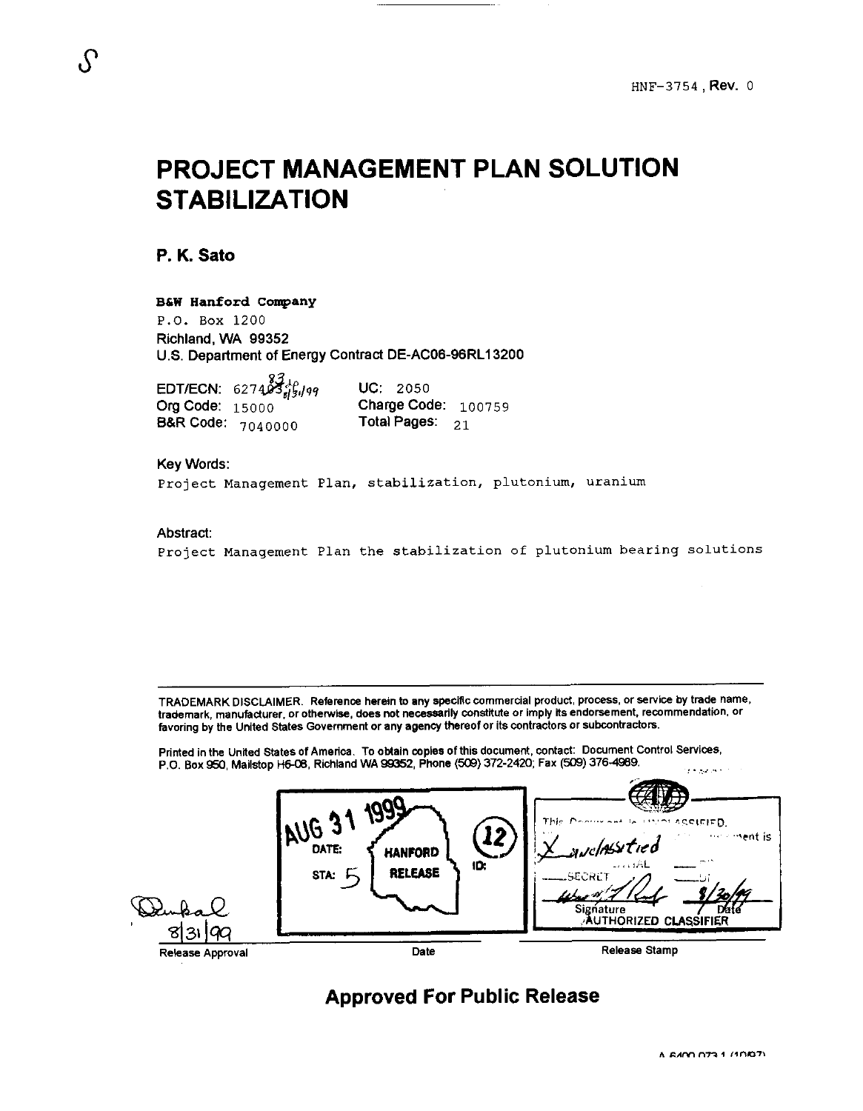# **PROJECT MANAGEMENT PLAN SOLUTION STABILIZATION**

**P. K. Sat0** 

#### **B6W Hanford company**

P.O. *Box* 1200 Richland, WA 99352 U.S. Department of Energy Contract DE-AC06-96RL13200

EDT/ECN: 6274  $\frac{83}{25}$ , ps **UC:** 2050<br>Org Code: 15000 Charge Coc **B&R Code:**  $7040000$ 

Charge Code:  $100759$ <br>Total Pages:  $21$ 

#### Key Words:

**Project Management Plan, stabilization, plutonium, uranium** 

#### Abstract:

**Project Management Plan the stabilization of plutonium bearing solutions** 

TRADEMARK DISCLAIMER. Reference herein to any specific commercial product, process, or service by trade name, trademark, manufacturer, or otherwise, does not necessarily constitute or imply its endorsement, recommendation, or favoring by the United States Government or any agency thereof or its contractors or subcontractors.

Printed in the United States of America. To obtain copies of this document, contact: Document Control Services, P.O. Box 950, Mailstop H6-08, Richland WA 99352, Phone (509) 372-2420; Fax *(509)* 376-4989.

| প্ৰয়<br>90      | 122<br>MGE<br>12<br>DATE:<br><b>HANFORD</b><br>ID:<br><b>RELEASE</b><br>STA: | -----<br>ASSIEIED.<br>This<br>se and dall the me<br>the street is<br>avelasstied<br>ناظب ت<br><u>__</u> SECRET<br>Signature<br><b>Date</b><br>Authorized <b>cla</b> ssifier |
|------------------|------------------------------------------------------------------------------|-----------------------------------------------------------------------------------------------------------------------------------------------------------------------------|
| Release Approval | Date                                                                         | <b>Release Stamp</b>                                                                                                                                                        |

## **Approved For Public Release**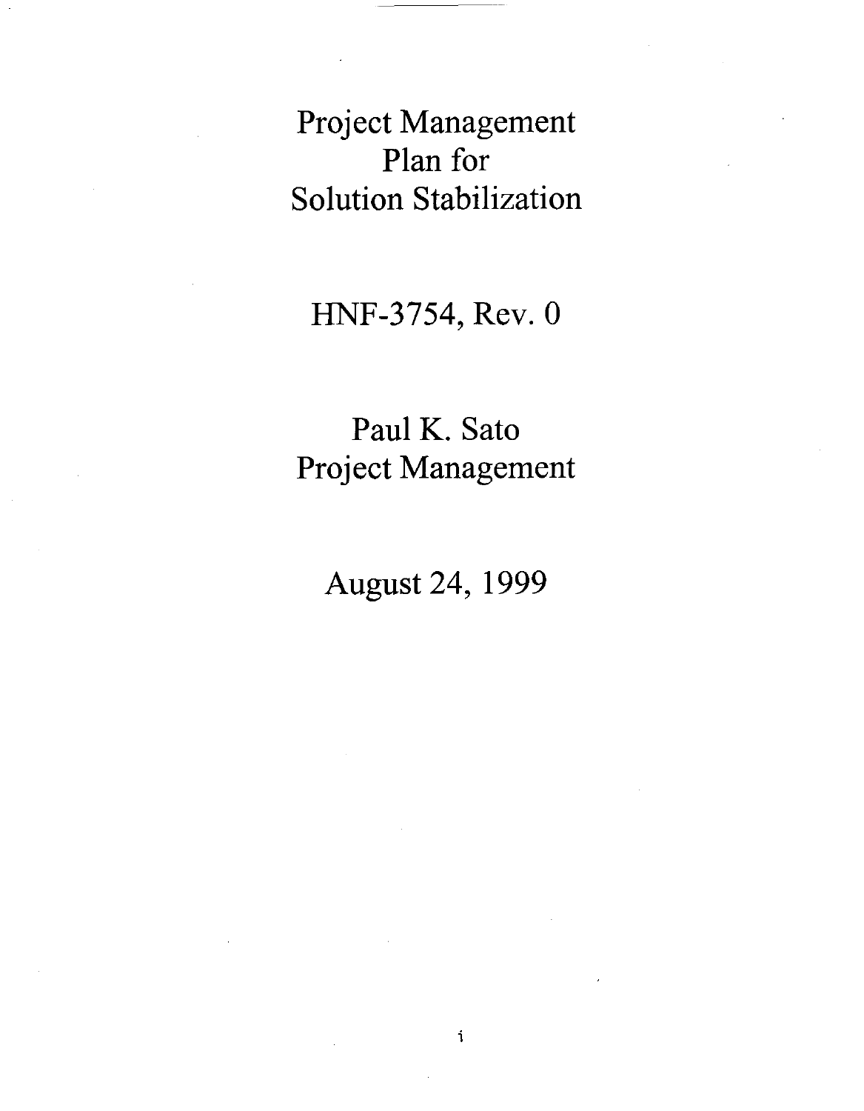Project Management Plan for Solution Stabilization

HNF-3754, Rev. 0

Paul K. Sato Project Management

August 24, 1999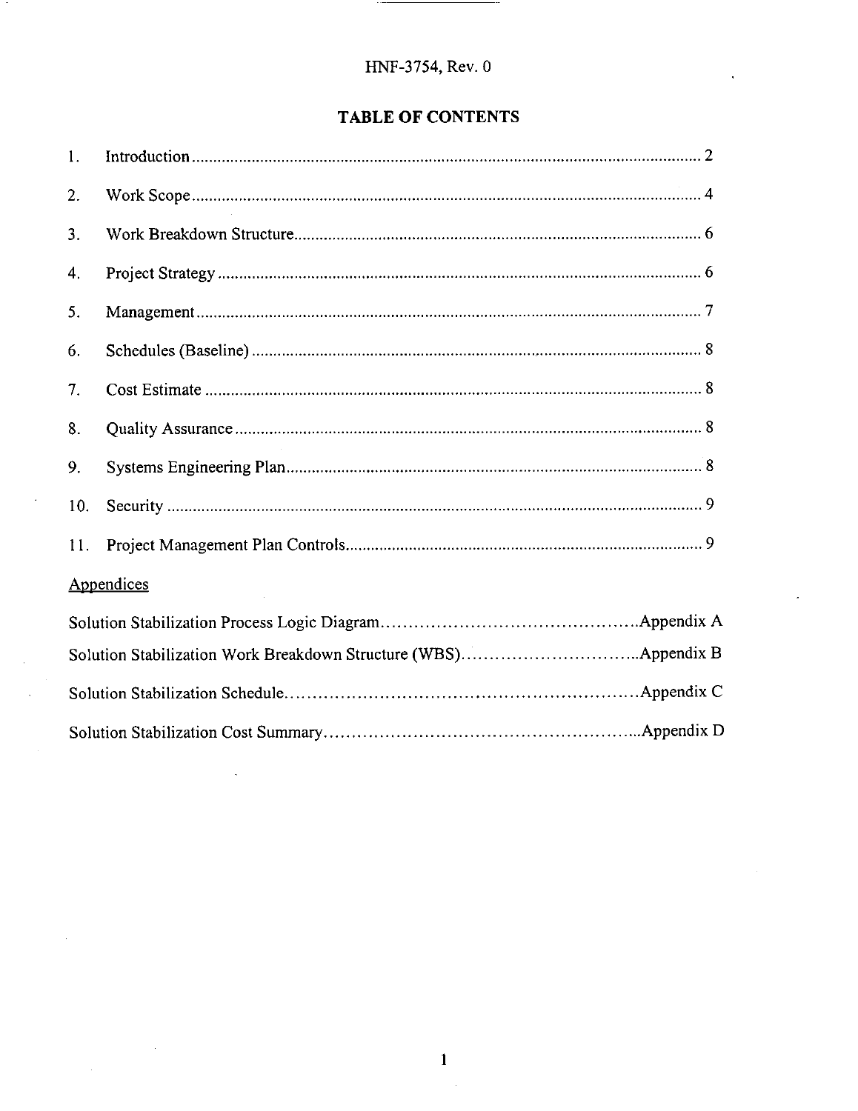## **TABLE OF CONTENTS**

| 1.  |            |
|-----|------------|
| 2.  |            |
| 3.  |            |
| 4.  |            |
| 5.  |            |
| 6.  |            |
| 7.  |            |
| 8.  |            |
| 9.  |            |
| 10. |            |
| 11. |            |
|     | Appendices |
|     |            |
|     |            |
|     |            |
|     |            |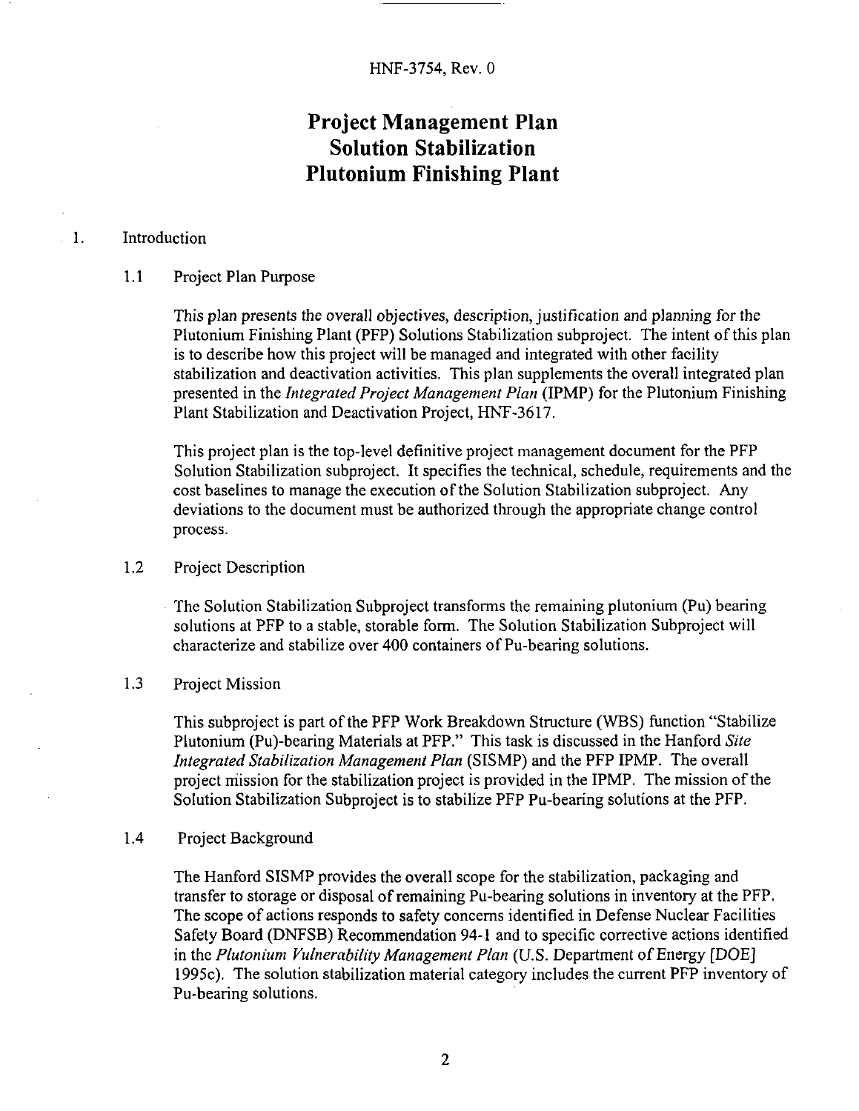## **Project Management Plan Solution Stabilization Plutonium Finishing Plant**

### <span id="page-4-0"></span>1. Introduction

#### 1.1 Project Plan Purpose

This plan presents the overall objectives, description, justification and planning for the Plutonium Finishing Plant (PFP) Solutions Stabilization subproject. The intent of this plan is to describe how this project will be managed and integrated with other facility stabilization and deactivation activities. This plan supplements the overall integrated plan presented in the *Integrated Project Management Plan* (IPMP) for the Plutonium Finishing Plant Stabilization and Deactivation Project, HNF-3617.

This project plan is the top-level definitive project management document for the PFP Solution Stabilization subproject. It specifies the technical, schedule, requirements and the cost baselines to manage the execution of the Solution Stabilization subproject. Any deviations to the document must be authorized through the appropriate change control process.

#### 1.2 Project Description

The Solution Stabilization Subproject transforms the remaining plutonium (Pu) bearing solutions at PFP to a stable, storable form. The Solution Stabilization Subproject will characterize and stabilize over 400 containers of Pu-bearing solutions.

#### 1.3 Project Mission

This subproject is part of the PFP Work Breakdown Structure (WBS) function "Stabilize Plutonium (Pu)-bearing Materials at PFP." This task is discussed in the Hanford *Site Integrated Stabilization Managemenf Plan* (SISMP) and the PFP IPMP. The overall project mission for the stabilization project is provided in the IPMP. The mission of the Solution Stabilization Subproject is to stabilize PFP Pu-bearing solutions at the PFP.

#### 1.4 Project Background

The Hanford SISMP provides the overall scope for the stabilization, packaging and transfer to storage or disposal of remaining Pu-bearing solutions in inventory at the PFP. The scope of actions responds to safety concerns identified in Defense Nuclear Facilities Safety Board (DNFSB) Recommendation 94-1 and to specific corrective actions identified in the *Plutonium Vulnerability Management Plan* (U.S. Department of Energy [DOE] 1995c). The solution stabilization material category includes the current PFP inventory of Pu-bearing solutions.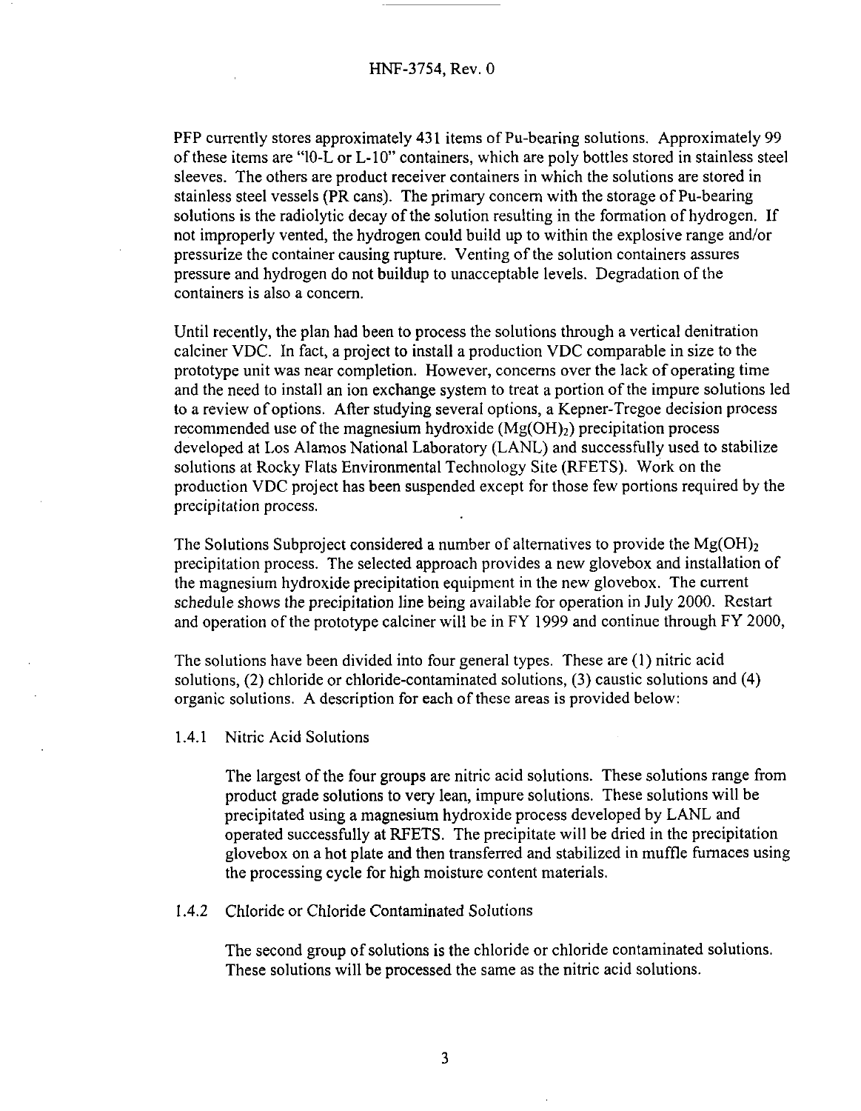<span id="page-5-0"></span>PFP currently stores approximately **431** items of Pu-bearing solutions. Approximately 99 of these items are "10-L or L-10" containers, which are poly bottles stored in stainless steel sleeves. The others are product receiver containers in which the solutions are stored in stainless steel vessels (PR cans). The primary concern with the storage of Pu-bearing solutions is the radiolytic decay of the solution resulting in the formation of hydrogen. If not improperly vented, the hydrogen could build up to within the explosive range and/or pressurize the container causing rupture. Venting of the solution containers assures pressure and hydrogen do not buildup to unacceptable levels. Degradation of the containers is also a concern.

Until recently, the plan had been to process the solutions through a vertical denitration calciner VDC. In fact, a project to install a production VDC comparable in size to the prototype unit was near completion. However, concerns over the lack of operating time and the need to install an ion exchange system to treat a portion of the impure solutions led to a review of options. After studying several options, a Kepner-Tregoe decision process recommended use of the magnesium hydroxide  $(Mg(OH<sub>2</sub>)$  precipitation process developed at Los Alamos National Laboratory (LANL) and successfully used to stabilize solutions at Rocky Flats Environmental Technology Site (RFETS). Work on the production VDC project has been suspended except for those few portions required by the precipitation process.

The Solutions Subproject considered a number of alternatives to provide the  $Mg(OH)_{2}$ precipitation process. The selected approach provides a new glovebox and installation of the magnesium hydroxide precipitation equipment in the new glovebox. The current schedule shows the precipitation line being available for operation in July 2000. Restart and operation of the prototype calciner will be in FY 1999 and continue through FY 2000,

The solutions have been divided into four general types. These are (1) nitric acid solutions, (2) chloride or chloride-contaminated solutions, **(3)** caustic solutions and (4) organic solutions. A description for each of these areas is provided below:

1.4.1 Nitric Acid Solutions

The largest of the four groups are nitric acid solutions. These solutions range from product grade solutions to very lean, impure solutions. These solutions will be precipitated using a magnesium hydroxide process developed by LANL and operated successfully at RFETS. The precipitate will be dried in the precipitation glovebox on a hot plate and then transferred and stabilized in muffle furnaces using the processing cycle for high moisture content materials.

**1.4.2** Chloride or Chloride Contaminated Solutions

The second group of solutions is the chloride or chloride contaminated solutions. These solutions will be processed the same as the nitric acid solutions.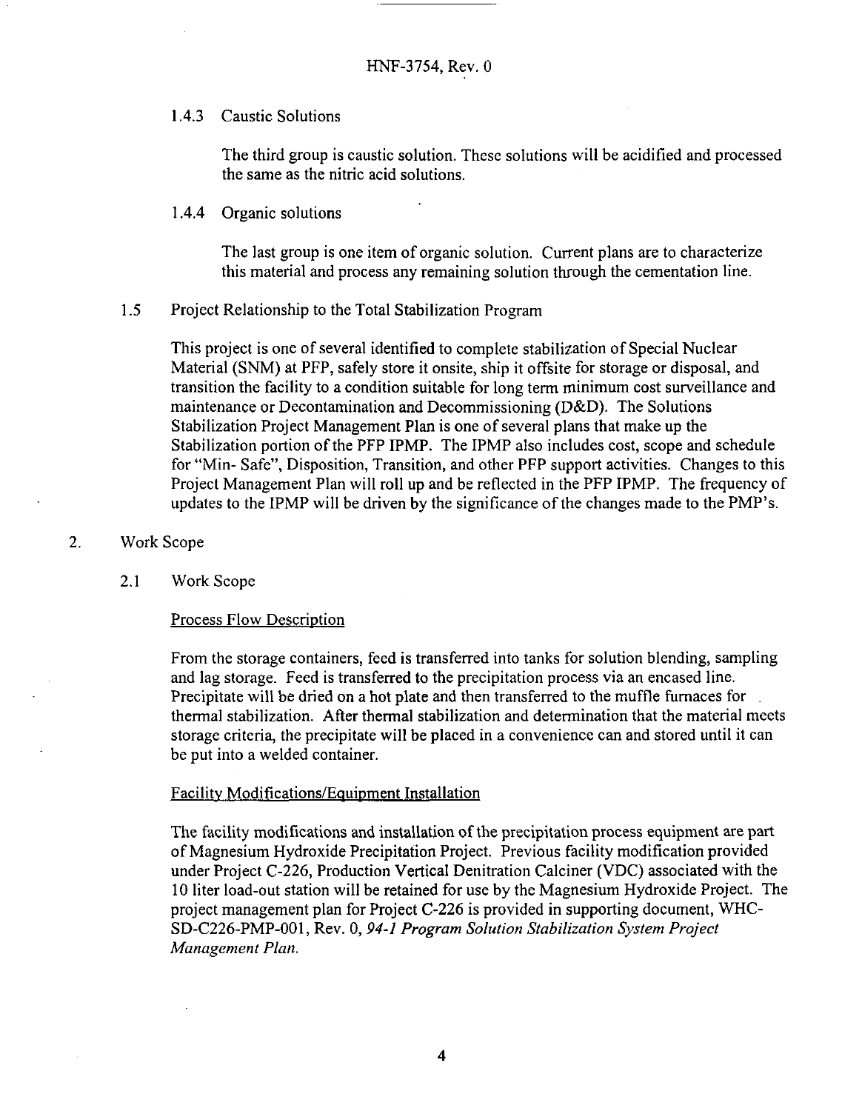<span id="page-6-0"></span>1.4.3 Caustic Solutions

The third group is caustic solution. These solutions will be acidified and processed the same as the nitric acid solutions.

1.4.4 Organic solutions

The last group is one item of organic solution. Current plans are to characterize this material and process any remaining solution through the cementation line.

**1.5** Project Relationship to the Total Stabilization Program

This project is one of several identified to complete stabilization of Special Nuclear Material **(SNM)** at PFP, safely store it onsite, ship it offsite for storage or disposal, and transition the facility to a condition suitable for long term minimum cost surveillance and maintenance or Decontamination and Decommissioning (D&D). The Solutions Stabilization Project Management Plan is one of several plans that make up the Stabilization portion of the PFP IPMP. The IPMP also includes cost, scope and schedule for "Min- Safe", Disposition, Transition, and other PFP support activities. Changes to this Project Management Plan will roll up and be reflected in the PFP IPMP. The frequency of updates to the IPMP will be driven by the significance of the changes made to the PMP's.

#### 2. Work Scope

2.1 Work Scope

#### Process Flow Description

From the storage containers, feed is transferred into tanks for solution blending, sampling and lag storage. Feed is transferred to the precipitation process via an encased line. Precipitate will be dried on a hot plate and then transferred to the muffle furnaces for thermal stabilization. **After** thermal stabilization and determination that the material meets storage criteria, the precipitate will be placed in a convenience can and stored until it can be put into a welded container.

#### Facility Modifications/Equipment Installation

The facility modifications and installation of the precipitation process equipment are part of Magnesium Hydroxide Precipitation Project. Previous facility modification provided under Project C-226, Production Vertical Denitration Calciner (VDC) associated with the 10 liter load-out station will be retained for use by the Magnesium Hydroxide Project. The project management plan for Project **C-226** is provided in supporting document, WHC-SD-C226-PMP-001, Rev. *0,94-I Program Solution Stabilization System Project Management Plan.*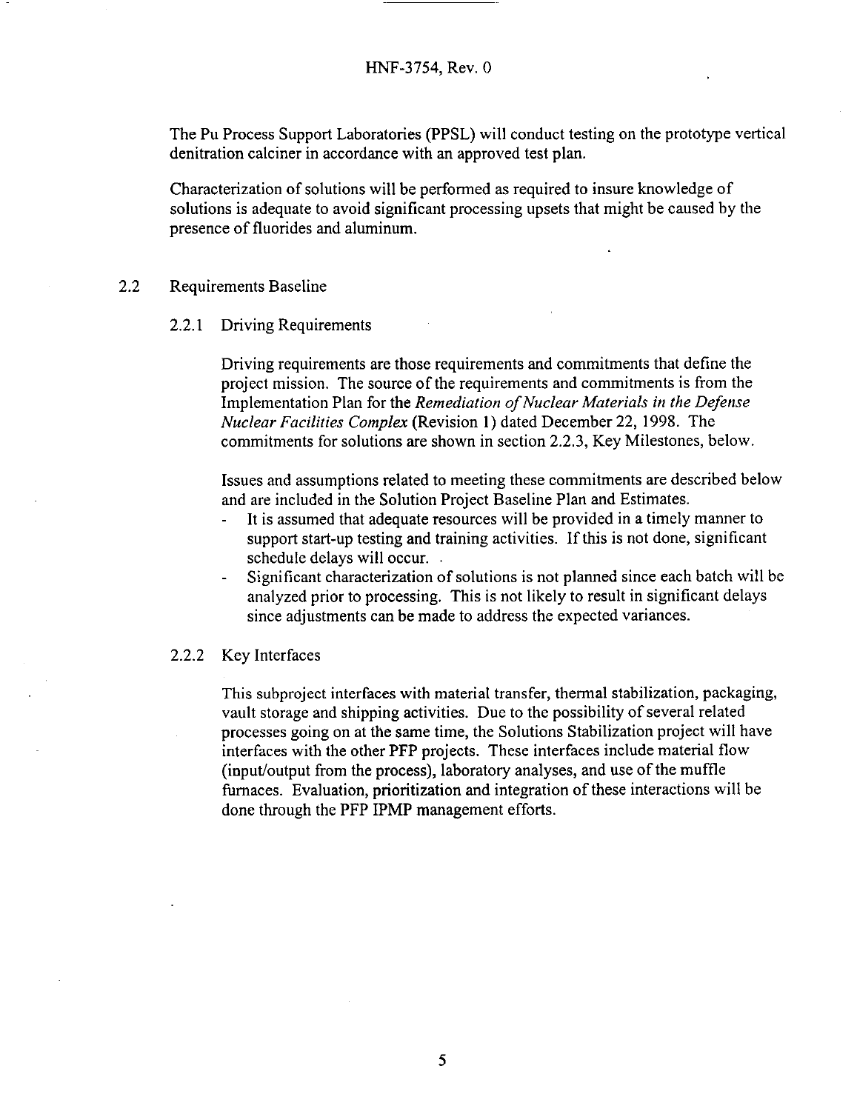The Pu Process Support Laboratories (PPSL) will conduct testing on the prototype vertical denitration calciner in accordance with an approved test plan.

Characterization of solutions will be performed as required to insure knowledge of solutions is adequate to avoid significant processing upsets that might be caused by the presence of fluorides and aluminum.

#### 2.2 Requirements Baseline

#### 2.2.1 Driving Requirements

Driving requirements are those requirements and commitments that define the project mission. The source of the requirements and commitments is from the Implementation Plan for the *Remediation of Nuclear Materials in the Defense Nuclear Facilities Complex* (Revision 1) dated December 22, 1998. The commitments for solutions are shown in section **2.2.3,** Key Milestones, below.

Issues and assumptions related to meeting these commitments are described below and are included in the Solution Project Baseline Plan and Estimates.

- It is assumed that adequate resources will be provided in a timely manner to support start-up testing and training activities. If this is not done, significant schedule delays will occur.
- Significant characterization of solutions is not planned since each batch will be analyzed prior to processing. This is not likely to result in significant delays since adjustments can be made to address the expected variances. -

#### 2.2.2 Key Interfaces

This subproject interfaces with material transfer, thermal stabilization, packaging, vault storage and shipping activities. Due to the possibility of several related processes going on at the same time, the Solutions Stabilization project will have interfaces with the other PFP projects. These interfaces include material flow (input/output from the process), laboratory analyses, and use of the muffle furnaces. Evaluation, prioritization and integration of these interactions will be done through the PFP IPMP management efforts.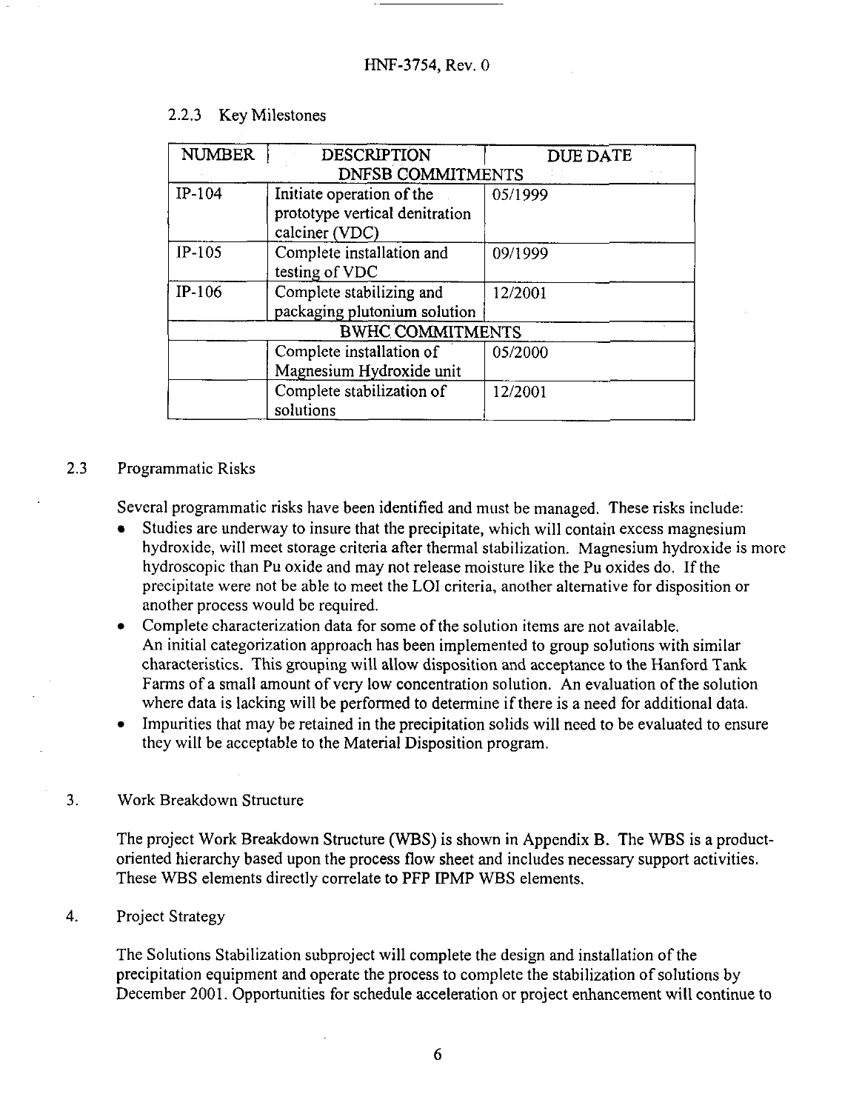| <b>NUMBER</b> | <b>DESCRIPTION</b><br><b>DNFSB COMMITMENTS</b>                                | <b>DUE DATE</b> |
|---------------|-------------------------------------------------------------------------------|-----------------|
| $IP-104$      | Initiate operation of the<br>prototype vertical denitration<br>calciner (VDC) | 05/1999         |
| $IP-105$      | Complete installation and<br>testing of VDC                                   | 09/1999         |
| IP-106        | Complete stabilizing and<br>packaging plutonium solution                      | 12/2001         |
|               | <b>BWHC COMMITMENTS</b>                                                       |                 |
|               | Complete installation of<br>Magnesium Hydroxide unit                          | 05/2000         |
|               | Complete stabilization of<br>solutions                                        | 12/2001         |

### <span id="page-8-0"></span>2.2.3 Key Milestones

### 2.3 Programmatic Risks

Several programmatic risks have been identified and must be managed. These risks include:

- Studies are underway to insure that the precipitate, which will contain excess magnesium hydroxide, will meet storage criteria after thermal stabilization. Magnesium hydroxide is more hydroscopic than Pu oxide and may not release moisture like the Pu oxides do. If the precipitate were not be able to meet the LO1 criteria, another alternative for disposition or another process would be required.
- Complete characterization data for some of the solution items are not available. *An* initial categorization approach has been implemented to group solutions with similar characteristics. This grouping will allow disposition and acceptance to the Hanford Tank Farms of a small amount of very low concentration solution. *An* evaluation of the solution where data is lacking will be performed to determine if there is a need for additional data.
- Impurities that may be retained in the precipitation solids will need to be evaluated to ensure they will be acceptable to the Material Disposition program.

#### **3.** Work Breakdown Structure

The project Work Breakdown Structure (WBS) is shown in Appendix B. The WBS is a productoriented hierarchy based upon the process flow sheet and includes necessary support activities. These WBS elements directly correlate to PFP IPMP WBS elements.

#### 4. Project Strategy

The Solutions Stabilization subproject will complete the design and installation of the precipitation equipment and operate the process to complete the stabilization of solutions by December 2001. Opportunities for schedule acceleration or project enhancement will continue to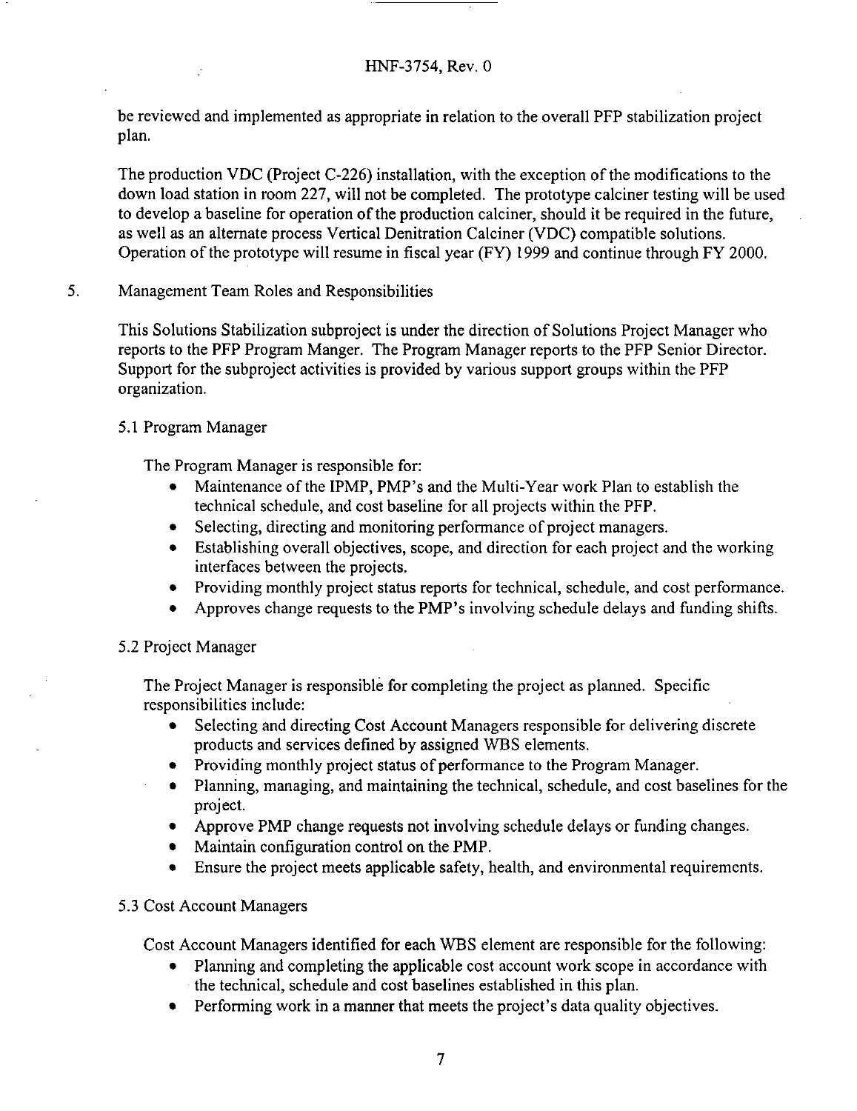<span id="page-9-0"></span>be reviewed and implemented as appropriate in relation to the overall PFP stabilization project plan.

The production VDC (Project C-226) installation, with the exception of the modifications to the down load station in room 227, will not be completed. The prototype calciner testing will be used to develop a baseline for operation of the production calciner, should it be required in the future, as well as an alternate process Vertical Denitration Calciner (VDC) compatible solutions. Operation of the prototype will resume in fiscal year (FY) 1999 and continue through FY 2000.

#### Management Team Roles and Responsibilities 5.

This Solutions Stabilization subproject is under the direction of Solutions Project Manager who reports to the PFP Program Manger. The Program Manager reports to the PFP Senior Director. Support for the subproject activities is provided by various support groups within the PFP organization.

### 5.1 Program Manager

The Program Manager is responsible for:

- Maintenance of the IPMP, PMP's and the Multi-Year work Plan to establish the technical schedule, and cost baseline for all projects within the PFP.
- Selecting, directing and monitoring performance of project managers.
- Establishing overall objectives, scope, and direction for each project and the working interfaces between the projects.
- Providing monthly project status reports for technical, schedule, and cost performance.
- Approves change requests to the PMP's involving schedule delays and funding shifts.

### 5.2 Project Manager

The Project Manager is responsible for completing the project as planned. Specific responsibilities include:

- Selecting and directing Cost Account Managers responsible for delivering discrete products and services defined by assigned WBS elements.
- Providing monthly project status of performance to the Program Manager.
- Planning, managing, and maintaining the technical, schedule, and cost baselines for the project.
- Approve PMP change requests not involving schedule delays or funding changes.
- Maintain configuration control on the PMP.
- Ensure the project meets applicable safety, health, and environmental requirements.

### **5.3** Cost Account Managers

Cost Account Managers identified for each WBS element are responsible for the following:

- Planning and completing the applicable cost account work scope in accordance with the technical, schedule and cost baselines established in this plan.
- Performing work in a manner that meets the project's data quality objectives.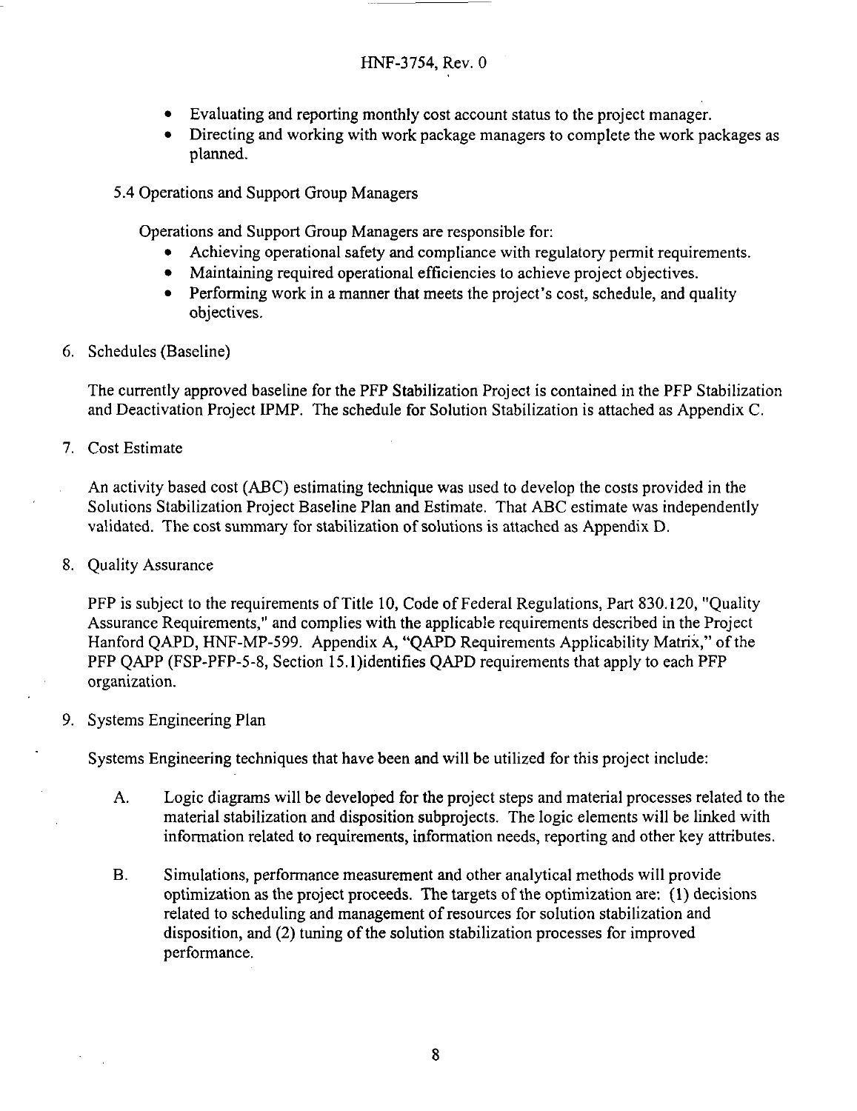- <span id="page-10-0"></span> $\bullet$ Evaluating and reporting monthly cost account status to the project manager.
- Directing and working with work package managers to complete the work packages as planned.

**5.4** Operations and Support Group Managers

Operations and Support Group Managers are responsible for:

- Achieving operational safety and compliance with regulatory permit requirements.
- Maintaining required operational efficiencies to achieve project objectives.
- $\bullet$ Performing work in a manner that meets the project's cost, schedule, and quality objectives.
- 6. Schedules (Baseline)

The currently approved baseline for the PFP Stabilization Project is contained in the PFP Stabilization and Deactivation Project IPMP. The schedule for Solution Stabilization is attached as Appendix C.

7. Cost Estimate

An activity based cost (ABC) estimating technique was used to develop the costs provided in the Solutions Stabilization Project Baseline Plan and Estimate. That ABC estimate was independently validated. The cost summary for stabilization of solutions is attached as Appendix D.

8. Quality Assurance

PFP is subject to the requirements of Title 10, Code of Federal Regulations, Part 830.120, "Quality Assurance Requirements," and complies with the applicable requirements described in the Project Hanford QAPD, HNF-MP-599. Appendix **A,** "QAPD Requirements Applicability Matrix," of the PFP QAPP (FSP-PFP-5-8, Section 15.l)identifies QAPD requirements that apply to each PFP organization.

9. Systems Engineering Plan

Systems Engineering techniques that have been and will be utilized for this project include:

- A. Logic diagrams will be developed for the project steps and material processes related to the material stabilization and disposition subprojects. The logic elements will be linked with information related to requirements, information needs, reporting and other key attributes.
- Simulations, performance measurement and other analytical methods will provide optimization as the project proceeds. The targets of the optimization are: (1) decisions related to scheduling and management of resources for solution stabilization and disposition, and (2) tuning of the solution stabilization processes for improved performance. **B.**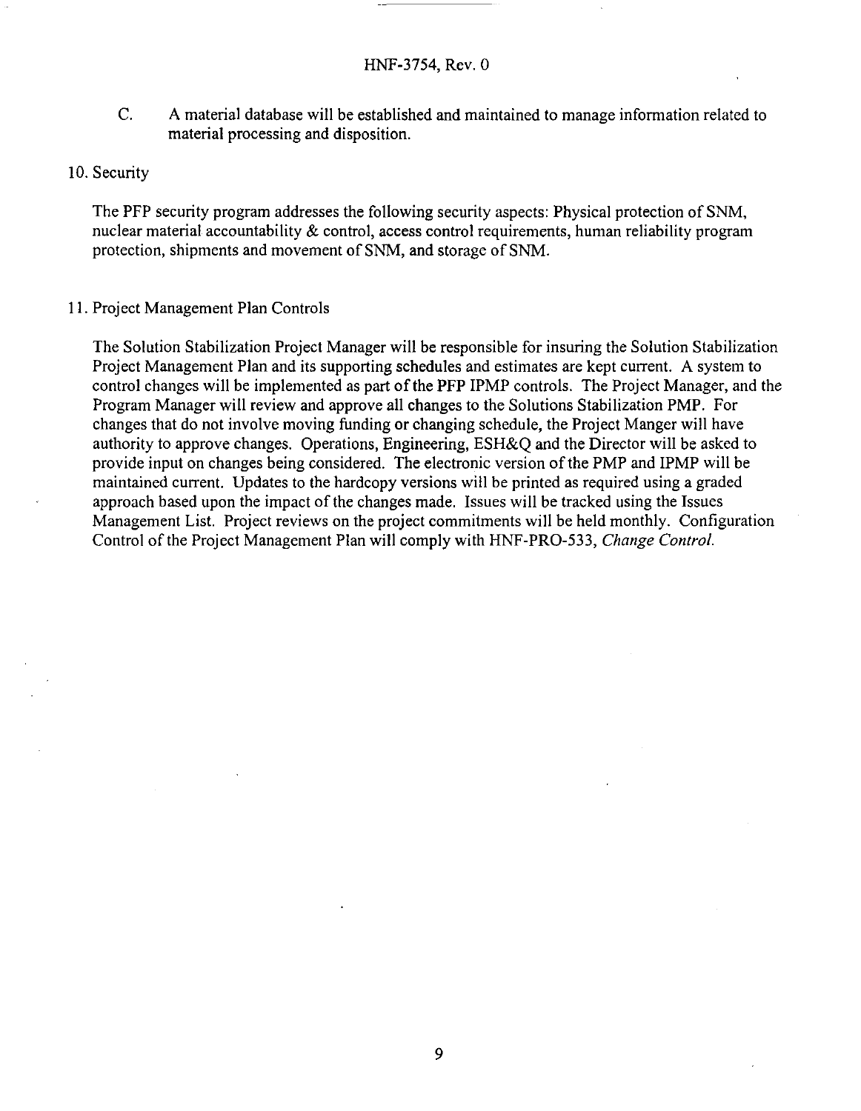- C. A material database will be established and maintained to manage information related to material processing and disposition.
- 10. Security

The PFP security program addresses the following security aspects: Physical protection of **SNM,**  nuclear material accountability & control, access control requirements, human reliability program protection, shipments and movement of **SNM,** and storage of **SNM.** 

1 1. Project Management Plan Controls

The Solution Stabilization Project Manager will be responsible for insuring the Solution Stabilization Project Management Plan and its supporting schedules and estimates are kept current. **A** system to control changes will be implemented as part of the PFP IPMP controls. The Project Manager, and the Program Manager will review and approve all changes to the Solutions Stabilization PMP. For changes that do not involve moving funding or changing schedule, the Project Manger will have authority to approve changes. Operations, Engineering, ESH&Q and the Director will be asked to provide input on changes being considered. The electronic version of the PMP and IPMP will be maintained current. Updates to the hardcopy versions will be printed as required using a graded approach based upon the impact of the changes made. Issues will be tracked using the Issues Management List. Project reviews on the project commitments will be held monthly. Configuration Control of the Project Management Plan will comply with HNF-PRO-533, *Change Control.*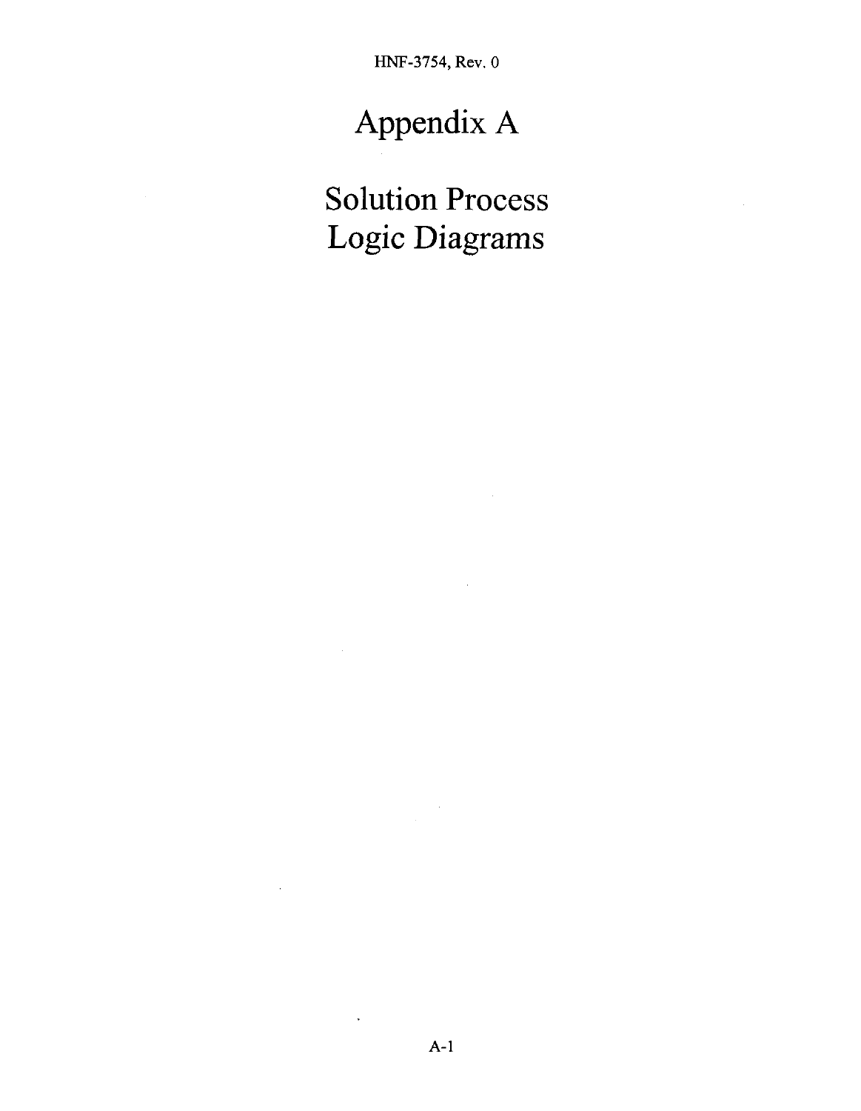# Appendix A

Solution Process Logic Diagrams

 $\ddot{\phantom{1}}$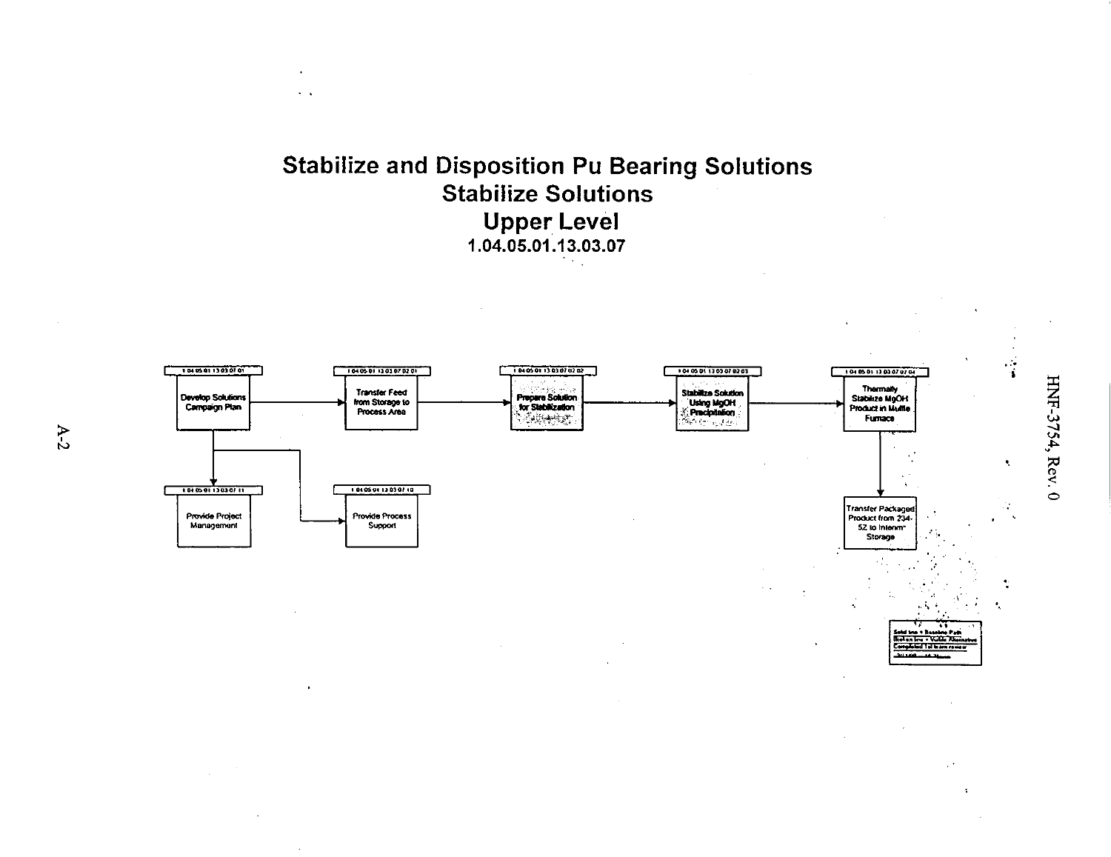



 $A-2$ 

HNF-3754, Rev. 0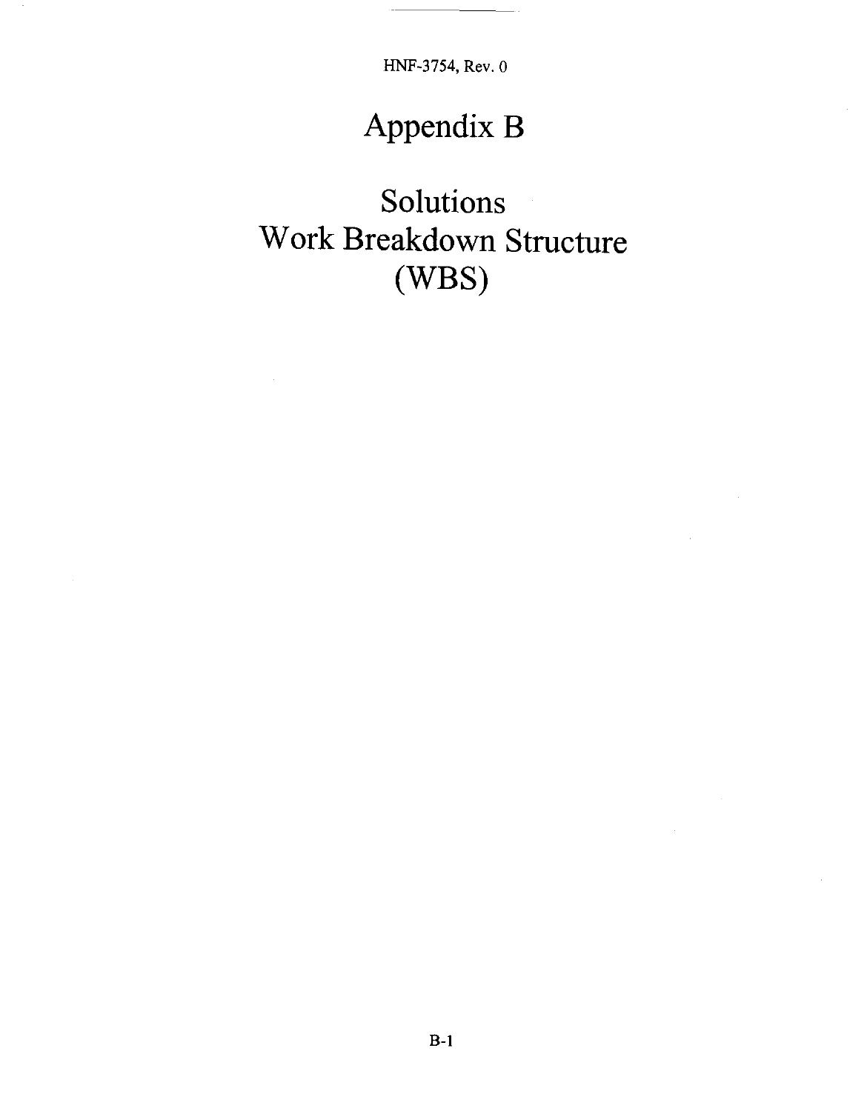# Appendix B

Solutions Work Breakdown Structure (WBS)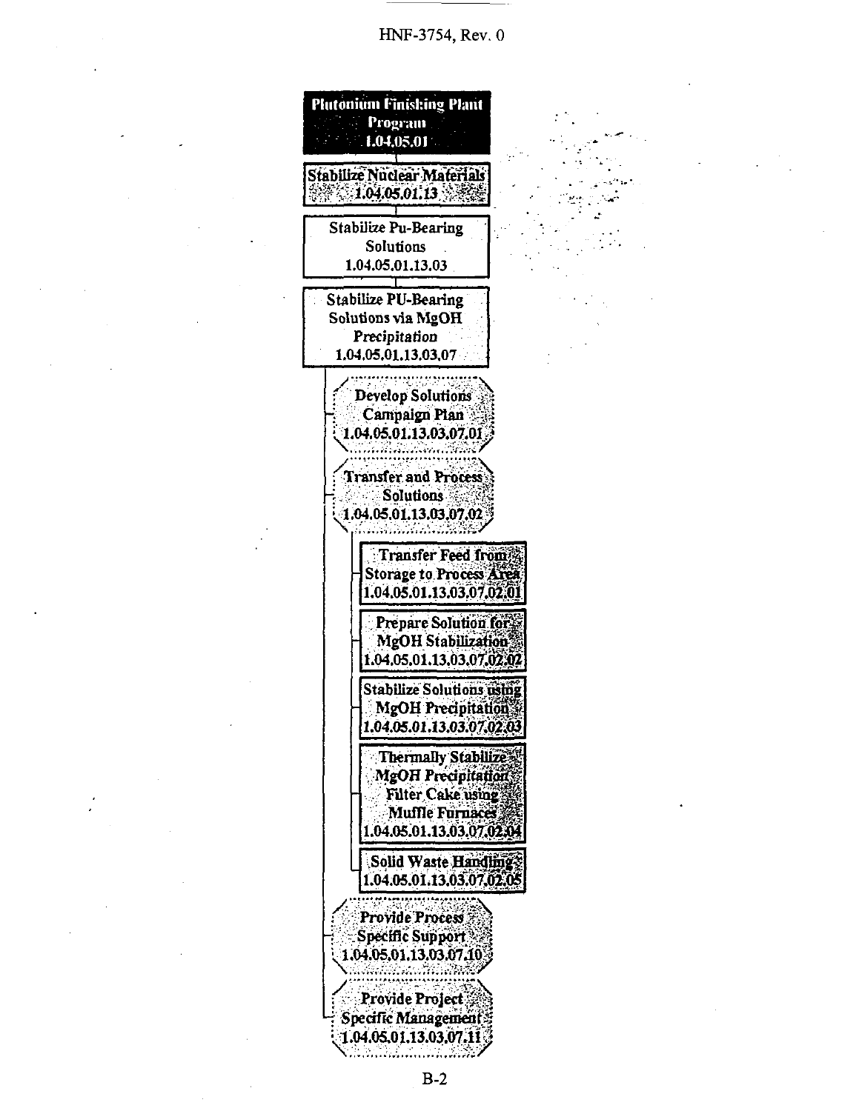

 $B-2$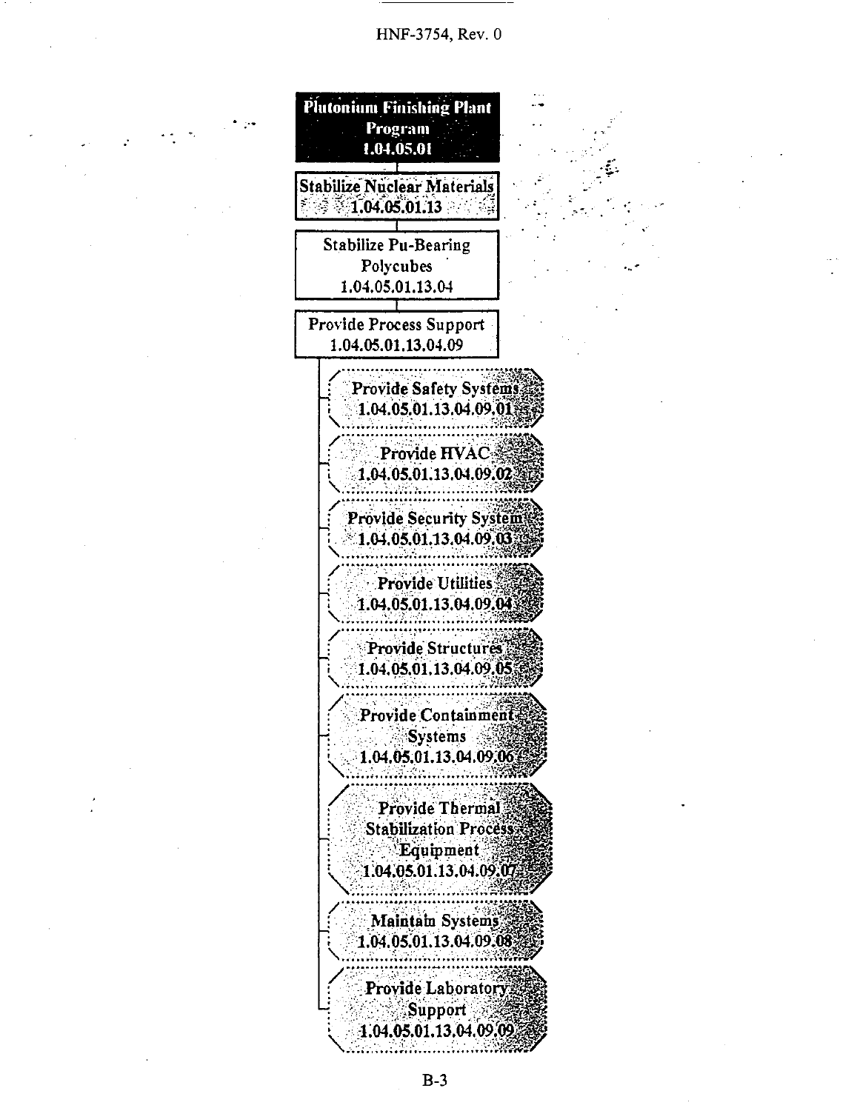

 $B-3$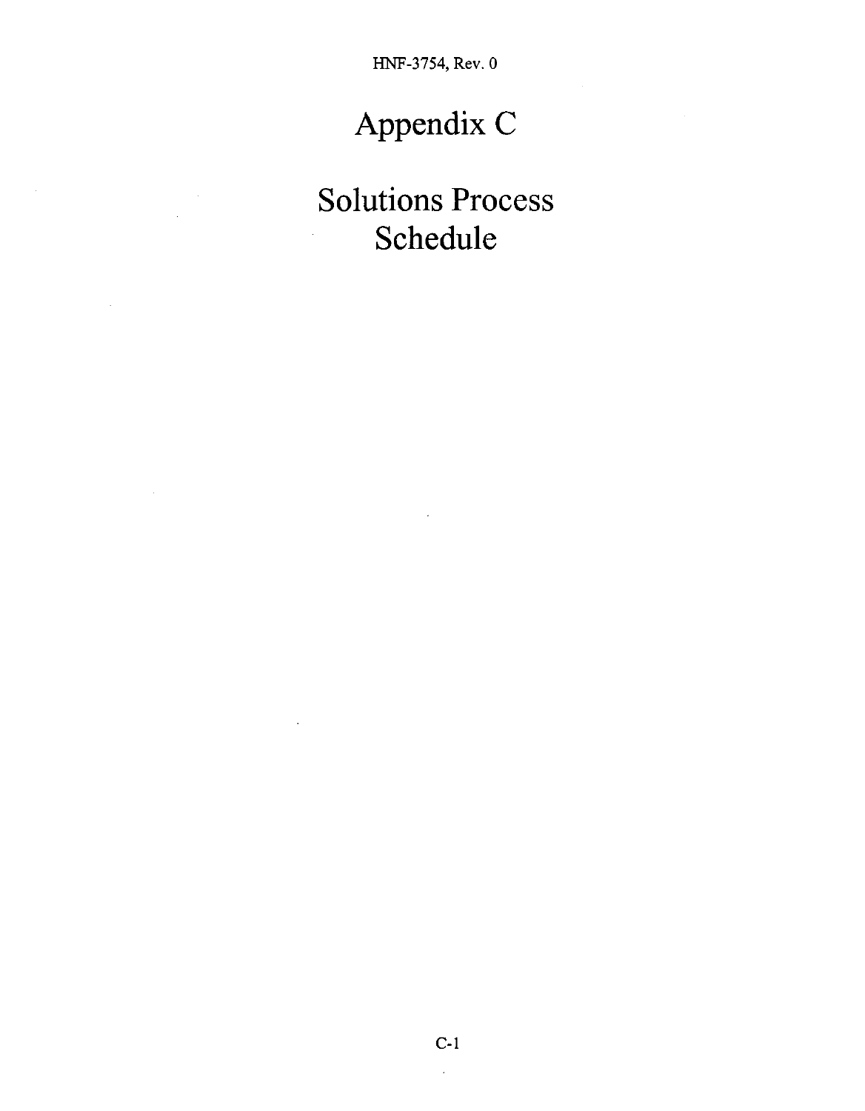# Appendix C

# Solutions Process Schedule

 $\ddot{\phantom{1}}$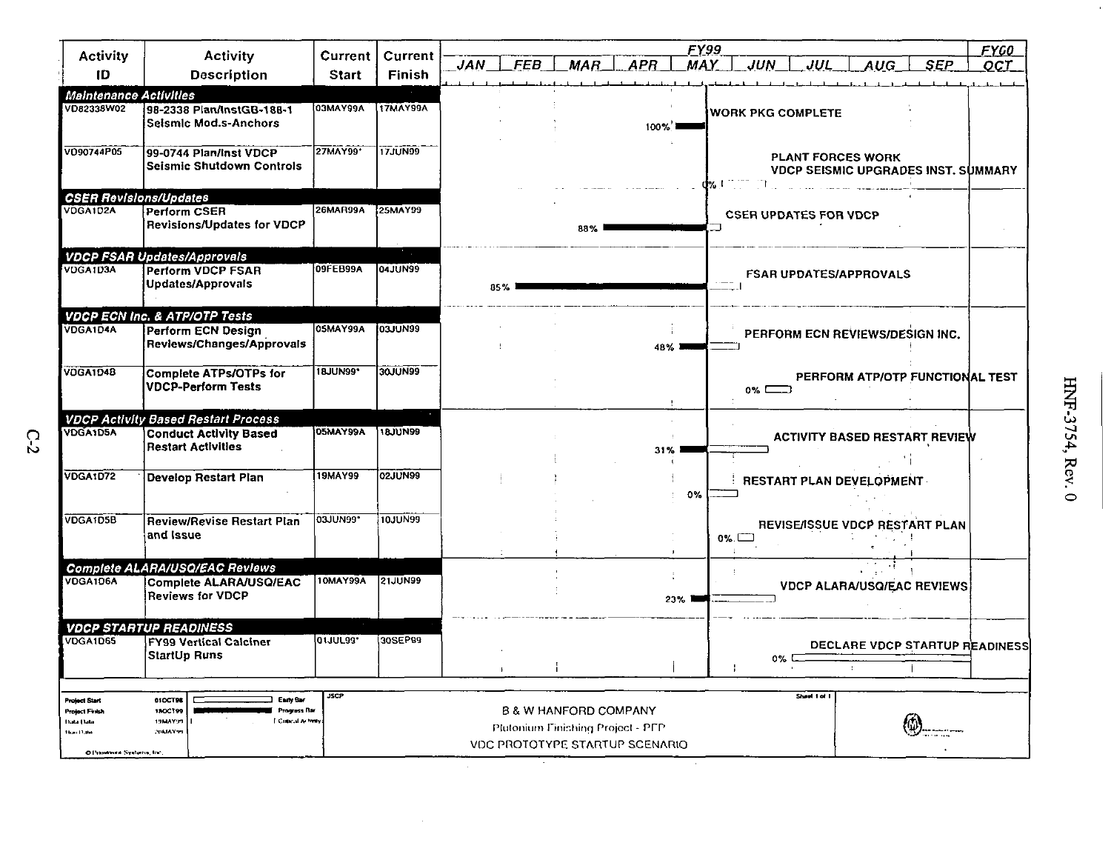|                                                                                                     |                                                                                                         |                 |                 |                          |                                                                                                         | FY99         |                                     |              |                                 |                                            | <b>FYGO</b> |
|-----------------------------------------------------------------------------------------------------|---------------------------------------------------------------------------------------------------------|-----------------|-----------------|--------------------------|---------------------------------------------------------------------------------------------------------|--------------|-------------------------------------|--------------|---------------------------------|--------------------------------------------|-------------|
| <b>Activity</b>                                                                                     | <b>Activity</b>                                                                                         | Current         | Current         | <b>FEB</b><br><b>JAN</b> | <b>APR</b><br>MAR.                                                                                      | <b>MAY</b>   | <b>JUN</b>                          | JUL          | AUC                             | SEP                                        | OCT         |
| ID                                                                                                  | <b>Description</b>                                                                                      | <b>Start</b>    | Finish          |                          |                                                                                                         |              |                                     |              |                                 |                                            |             |
| Maintenance Activities                                                                              |                                                                                                         |                 |                 |                          |                                                                                                         |              |                                     |              |                                 |                                            |             |
| VD82338W02                                                                                          | 98-2338 Plan/InstGB-188-1<br><b>Seismic Mod.s-Anchors</b>                                               | <b>03MAY99A</b> | <b>17MAY99A</b> |                          | $100\%$                                                                                                 |              | <b>WORK PKG COMPLETE</b>            |              |                                 |                                            |             |
| VO90744P05                                                                                          | 99-0744 Plan/Inst VDCP<br><b>Seismic Shutdown Controls</b>                                              | 27MAY99*        | 17JUN99         |                          |                                                                                                         |              | d% Chine in the second community of |              | <b>PLANT FORCES WORK</b>        | <b>VDCP SEISMIC UPGRADES INST. SUMMARY</b> |             |
| <b>CSER Revisions/Updates</b>                                                                       |                                                                                                         |                 |                 |                          |                                                                                                         |              |                                     |              |                                 |                                            |             |
| VDGA1D2A                                                                                            | <b>Perform CSER</b><br><b>Revisions/Updates for VDCP</b>                                                | 26MAR99A        | 25MAY99         |                          | 88%                                                                                                     |              | <b>CSER UPDATES FOR VDCP</b>        |              |                                 |                                            |             |
|                                                                                                     | <b>VDCP FSAR Updates/Approvals</b>                                                                      |                 |                 |                          |                                                                                                         |              |                                     |              |                                 |                                            |             |
| VDGA1D3A                                                                                            | <b>Perform VDCP FSAR</b><br>Updates/Approvals                                                           | 09FEB99A        | <b>04JUN99</b>  | 85%                      |                                                                                                         |              |                                     |              | <b>FSAR UPDATES/APPROVALS</b>   |                                            |             |
|                                                                                                     | <b>VDCP ECN Inc. &amp; ATP/OTP Tests</b>                                                                |                 |                 |                          |                                                                                                         |              |                                     |              |                                 |                                            |             |
| VDGA1D4A                                                                                            | Perform ECN Design<br>Reviews/Changes/Approvals                                                         | 05MAY99A        | <b>O</b> 3JUN99 |                          | 48% I                                                                                                   |              |                                     |              | PERFORM ECN REVIEWS/DESIGN INC. |                                            |             |
| VDGA1D4B                                                                                            | <b>Complete ATPs/OTPs for</b><br><b>VDCP-Perform Tests</b>                                              | 18JUN99*        | 30JUN99         |                          |                                                                                                         |              | $0\%$ $\Box$                        |              |                                 | PERFORM ATP/OTP FUNCTIONAL TEST            |             |
|                                                                                                     | <b>VDCP Activity Based Restart Process</b>                                                              |                 |                 |                          |                                                                                                         |              |                                     |              |                                 |                                            |             |
| <b>VDGA1D5A</b>                                                                                     | <b>Conduct Activity Based</b><br><b>Restart Activities</b>                                              | <b>05MAY99A</b> | 18JUN99         |                          | 31%                                                                                                     |              |                                     |              |                                 | <b>ACTIVITY BASED RESTART REVIEW</b>       |             |
| <b>VDGA1D72</b>                                                                                     | <b>Develop Restart Plan</b>                                                                             | <b>19MAY99</b>  | 02JUN99         |                          |                                                                                                         |              |                                     |              | RESTART PLAN DEVELOPMENT        |                                            |             |
|                                                                                                     |                                                                                                         |                 |                 |                          |                                                                                                         | 0%           |                                     |              |                                 |                                            |             |
| VDGA1D5B                                                                                            | <b>Review/Revise Restart Plan</b><br>and Issue                                                          | <b>O3JUN99*</b> | 10JUN99         |                          |                                                                                                         | $\mathbf{I}$ | $0\%$                               |              |                                 | REVISE/ISSUE VDCP RESTART PLAN             |             |
|                                                                                                     | <b>Complete ALARA/USQ/EAC Reviews</b>                                                                   |                 |                 |                          |                                                                                                         |              |                                     |              |                                 |                                            |             |
| VDGA1D6A                                                                                            | Complete ALARA/USQ/EAC<br><b>Reviews for VDCP</b>                                                       | 10MAY99A        | 21JUN99         |                          |                                                                                                         | 23%          |                                     |              |                                 | <b>VDCP ALARA/USQ/EAC REVIEWS</b>          |             |
|                                                                                                     | <b>VDCP STARTUP READINESS</b>                                                                           |                 |                 |                          |                                                                                                         |              |                                     |              |                                 |                                            |             |
| <b>VDGA1D65</b>                                                                                     | <b>FY99 Vertical Calciner</b><br>StartUp Runs                                                           | 0110133         | 30SEP99         |                          |                                                                                                         |              | 0% C                                |              | $\pm$                           | DECLARE VDCP STARTUP READINESS             |             |
|                                                                                                     |                                                                                                         |                 |                 |                          |                                                                                                         |              |                                     |              |                                 |                                            |             |
| Project Start<br><b>Project Finish</b><br><b>Tuda Dato</b><br>Hun Dam<br>O Preservera Systems, Inc. | <b>Early Bar</b><br>01OCT98<br>180CT99<br>Progress Dar<br>Concal Activity<br><b>19MAY99</b><br>POMAY TH | <b>JSCP</b>     |                 |                          | <b>B &amp; W HANFORD COMPANY</b><br>Plutonium Finishing Project - PFP<br>VDC PROTOTYPE STARTUP SCENARIO |              |                                     | Sheet 1 of 1 |                                 |                                            |             |

 $\sim$ 

 $C-2$ 

 $\bar{r}$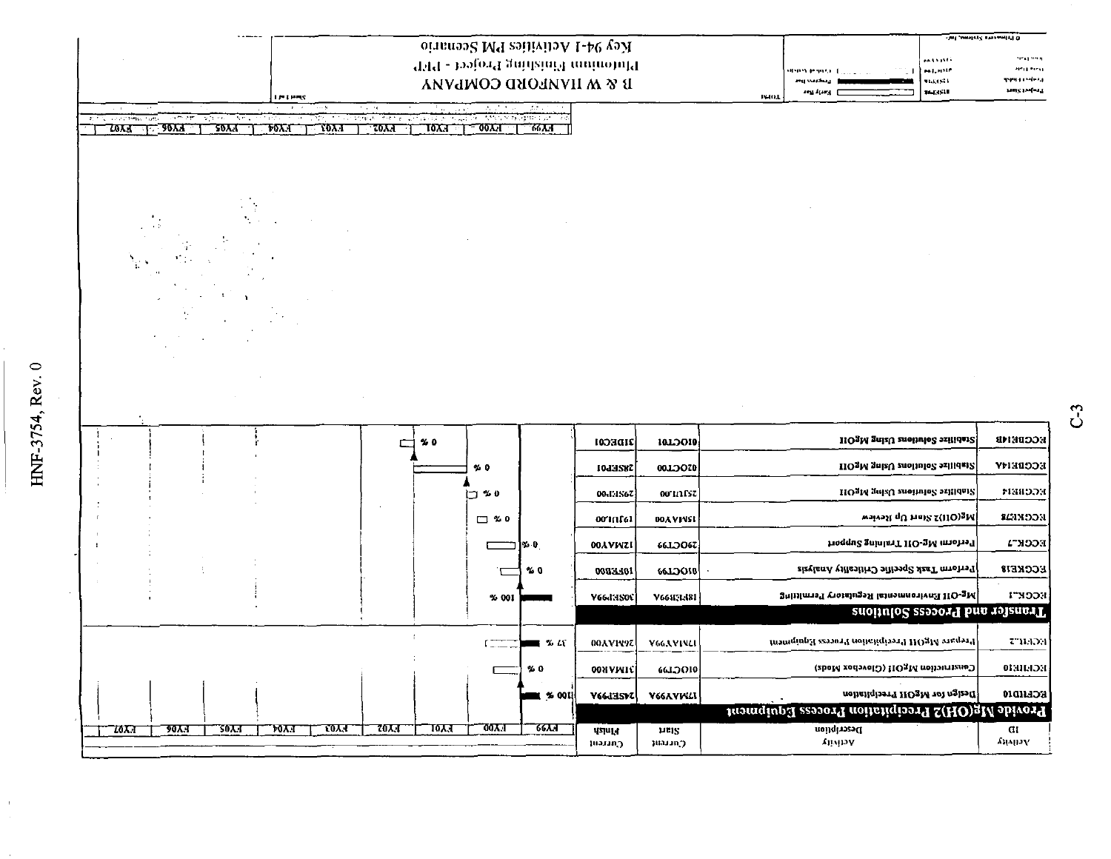| ر<br>م<br>1      |  |
|------------------|--|
| r<br>٢<br>ļ<br>r |  |

 $\mathbf{I}$ 

| oingnos MT ashivilo A-40 yeah                                                                                         |                                                              | <b>Set analysis arrested Cl</b> O |                  |                                                     |                                         |
|-----------------------------------------------------------------------------------------------------------------------|--------------------------------------------------------------|-----------------------------------|------------------|-----------------------------------------------------|-----------------------------------------|
|                                                                                                                       | Titt - bajord gninzinil muinotulf                            |                                   |                  | maanti<br>MERIT<br><b>HIMPS PERMIT LOCAL</b><br>-11 | <b>Strat Street</b><br><b>AFU MEU</b>   |
|                                                                                                                       | <b>IS &amp; W HANPORD COMPANY</b>                            |                                   |                  | 91. J.H. I<br>063511<br>ang Arang                   | <b>TYPE EXPERIENCE</b><br>radiz tooler? |
| <b>LES HERS</b>                                                                                                       |                                                              |                                   |                  | <b>INHOL</b>                                        |                                         |
| ছায় পথ<br>Autority of<br>sun trones. K<br>かかりゅう ひりゅうぶん<br>on the concentration pas-<br>t 2017.<br>$\tau$ wa<br>70X.T | तुर्वात उपयुज्यकोतीलामा ।<br>$\frac{1}{2}$<br>$-00\lambda A$ | <u>- ਨਾਰਜ</u>                     |                  |                                                     |                                         |
| $T_{\rm 50X,1}$<br>70XX<br><b>20YY</b>                                                                                |                                                              |                                   |                  |                                                     |                                         |
|                                                                                                                       |                                                              |                                   |                  |                                                     |                                         |
|                                                                                                                       |                                                              |                                   |                  |                                                     |                                         |
|                                                                                                                       |                                                              |                                   |                  |                                                     |                                         |
|                                                                                                                       |                                                              |                                   |                  |                                                     |                                         |
|                                                                                                                       |                                                              |                                   |                  |                                                     |                                         |
|                                                                                                                       |                                                              |                                   |                  |                                                     |                                         |
|                                                                                                                       |                                                              |                                   |                  |                                                     |                                         |
|                                                                                                                       |                                                              |                                   |                  |                                                     |                                         |
|                                                                                                                       |                                                              |                                   |                  |                                                     |                                         |
|                                                                                                                       |                                                              |                                   |                  |                                                     |                                         |
|                                                                                                                       |                                                              |                                   |                  |                                                     |                                         |
|                                                                                                                       |                                                              |                                   |                  |                                                     |                                         |
|                                                                                                                       |                                                              |                                   |                  |                                                     |                                         |
|                                                                                                                       |                                                              |                                   |                  |                                                     |                                         |
|                                                                                                                       |                                                              |                                   |                  |                                                     |                                         |
|                                                                                                                       |                                                              |                                   |                  |                                                     | <b>ECCDEMB</b>                          |
|                                                                                                                       | $\boldsymbol{\gamma}$ 0                                      | πριτσι                            | 1010010          | IIO3M anizU anoimlo2 2xilidai2                      |                                         |
|                                                                                                                       | %0                                                           | 1043587                           | 0010070          | Stabilize Solutions Using MgOII                     | <b>ECCBEINY</b>                         |
|                                                                                                                       | 0 ≪ 1                                                        | 00-F1S67                          | OUTHER           | HOgM guizU anoimle2 2xlildai2                       | FRIDOR                                  |
|                                                                                                                       |                                                              |                                   |                  |                                                     |                                         |
|                                                                                                                       | $\square$ % 0                                                | 00'11161                          | 00AVINSI         | ws(OII)3 Sind Up Review                             | EGINDON                                 |
|                                                                                                                       | 0 % ן ⊤                                                      | <b>OOAVINTI</b>                   | <b>66LOO67</b>   | rioqqu2 aniniaaT HO-aM imorsaT                      | ECCK <sup>-1</sup>                      |
|                                                                                                                       | $\%0$                                                        | 0087.701                          | <b>66LOOI8</b>   | zizylanA villasiiri süissq keaT mustrs?             | <b>ECCKEIS</b>                          |
|                                                                                                                       | % 001                                                        | VGGIHSOC]                         | <b>V661FL181</b> | 3ttlilm13T C10islug5A lainomno1 vn2l IIO-3M         | ECCK"1                                  |
|                                                                                                                       |                                                              |                                   |                  |                                                     | Transfer and Process Solutions          |
|                                                                                                                       |                                                              |                                   |                  |                                                     |                                         |
|                                                                                                                       |                                                              | ■ % 40<br><b>00AVIV9Z</b>         | V66AVINA         | Itramqingd szyorT noitaligiyy19 HOg14 yigqy19       | тамет                                   |
|                                                                                                                       | %0                                                           | <b>00NVMIE</b>                    | <b>66LOO10</b>   | Censtruction MgOII (Clovelox Mods)                  | <b>ECEIER</b>                           |
|                                                                                                                       |                                                              | ∎ % 00I<br><b>VGGJISVZ</b>        | <b>V66AVWLI</b>  | neiteilqiaarii HO2M vol nglaafi                     | <b>ECEILDIO</b>                         |
|                                                                                                                       |                                                              |                                   |                  | Provide Mg(OH)2 Precipitation Process Equipment     |                                         |
| <b>TOXT</b><br>20XT<br>90A.T<br>30A.T<br><b>MY</b><br>70X.T                                                           | <u> 00Y I</u><br>10Y 1                                       | 66A.T<br>पुडाणज                   | ha2.             | Description                                         | aı                                      |
|                                                                                                                       |                                                              | иәлалд                            | ງແບບກຸງ          | Anapov                                              | Аңдыу                                   |

 $C<sub>-3</sub>$ 

**PERMITTED IN THE PART OF**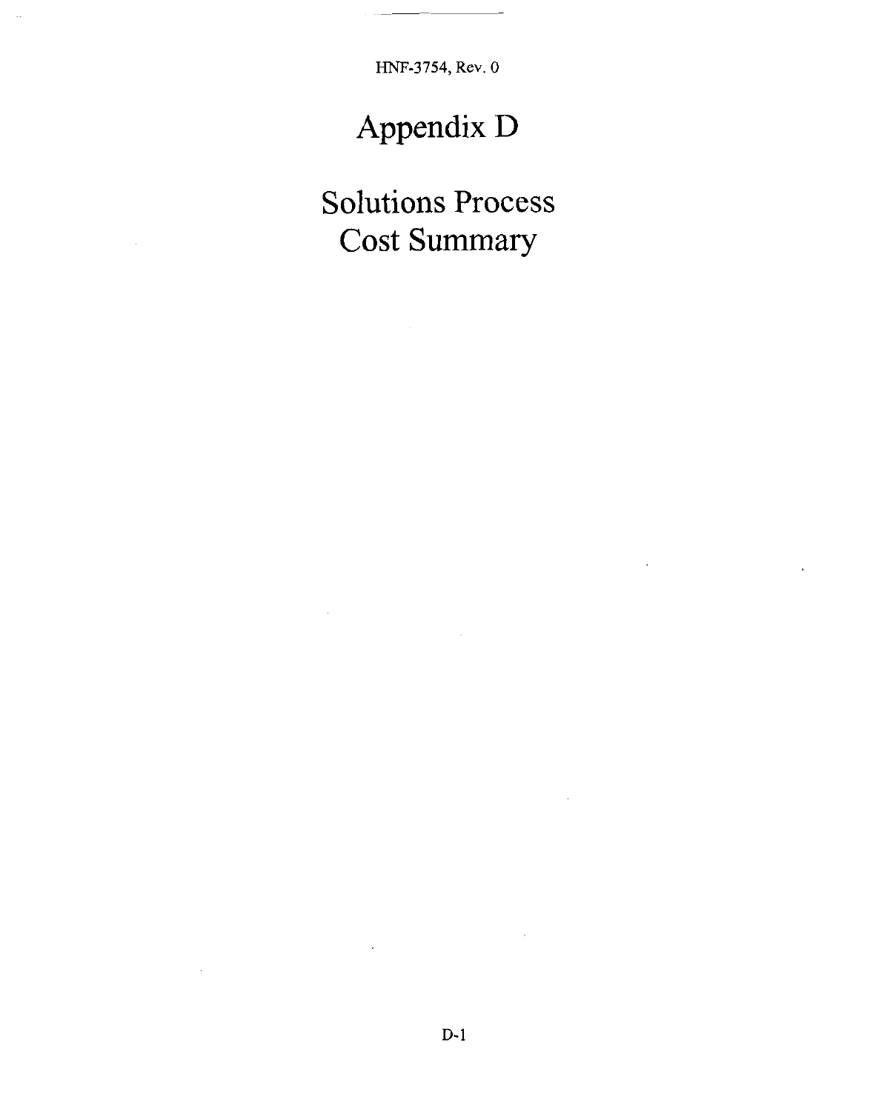# **Appendix** D

Solutions Process Cost Summary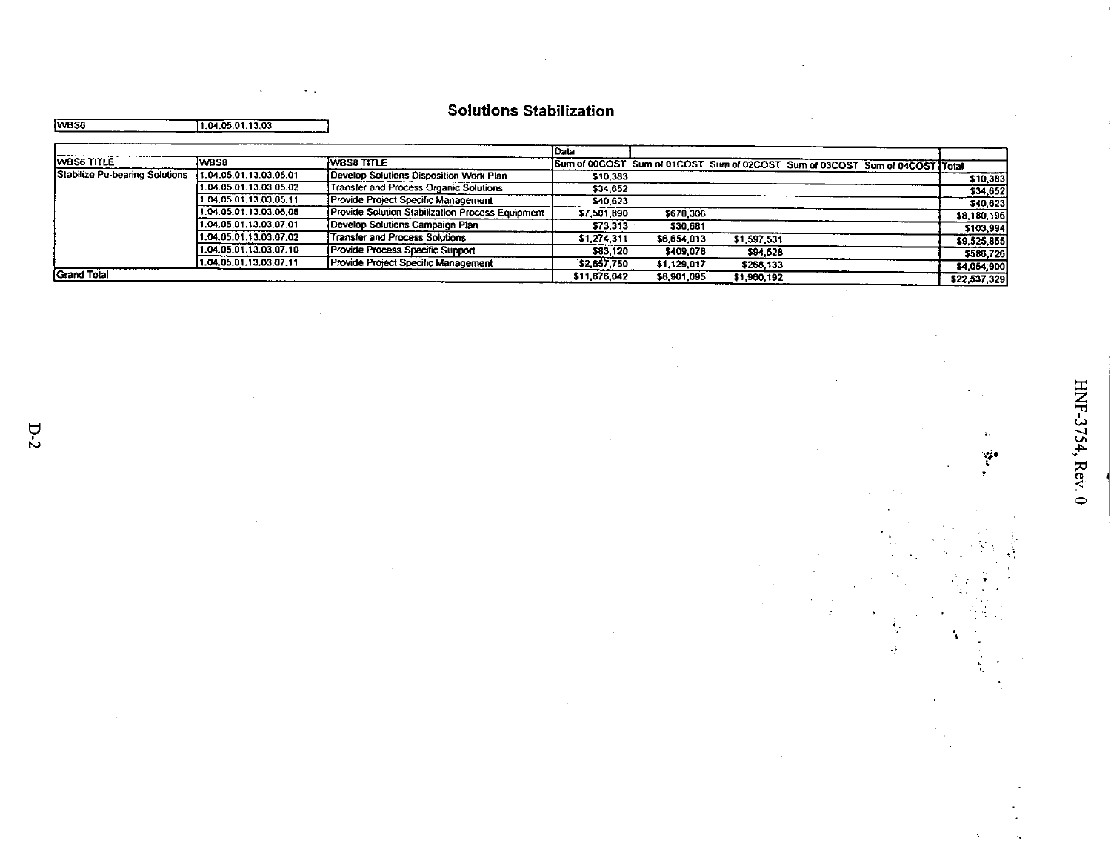| the company's company's and |  |
|-----------------------------|--|
|                             |  |
|                             |  |
|                             |  |

|  | <b>Solutions Stabilization</b> |
|--|--------------------------------|
|--|--------------------------------|

|      | ________ | $\sim$           |
|------|----------|------------------|
| WBS6 |          | 1.04.05.01.13.03 |

|                                |                        |                                                  | l Data       |             |             |                                                                             |              |
|--------------------------------|------------------------|--------------------------------------------------|--------------|-------------|-------------|-----------------------------------------------------------------------------|--------------|
| <b>WBS6 TITLE</b>              | wass                   | iwBS8 TITLE                                      |              |             |             | Sum of 00COST Sum of 01COST Sum of 02COST Sum of 03COST Sum of 04COST Total |              |
| Stabilize Pu-bearing Solutions | 1.04.05.01.13.03.05.01 | Develop Solutions Disposition Work Plan          | \$10.383     |             |             |                                                                             | \$10,383     |
|                                | 1.04.05.01.13.03.05.02 | Transfer and Process Organic Solutions           | \$34,652     |             |             |                                                                             | \$34,652     |
|                                | 1.04.05.01.13.03.05.11 | Provide Project Specific Management              | \$40,623     |             |             |                                                                             | \$40,623     |
|                                | 1.04.05.01.13.03.06.08 | Provide Solution Stabilization Process Equipment | \$7,501,890  | \$678,306   |             |                                                                             | \$8,180,196  |
|                                | 1.04.05.01.13.03.07.01 | Develop Solutions Campaign Plan                  | \$73,313     | \$30,681    |             |                                                                             | \$103,994    |
|                                | 1.04.05.01.13.03.07.02 | Transfer and Process Solutions                   | \$1,274,311  | \$6,654,013 | \$1,597,531 |                                                                             | \$9,525,855  |
|                                | 1.04.05.01.13.03.07.10 | Provide Process Specific Support                 | \$83,120     | \$409,078   | \$94.528    |                                                                             | \$586,726    |
|                                | 1.04.05.01.13.03.07.11 | Provide Project Specific Management              | \$2,657,750  | \$1,129,017 | \$268,133   |                                                                             | \$4,054,900  |
| <b>Grand Total</b>             |                        |                                                  | \$11,676,042 | \$8,901,095 | \$1,960,192 |                                                                             | \$22,537,329 |

¥.

ą